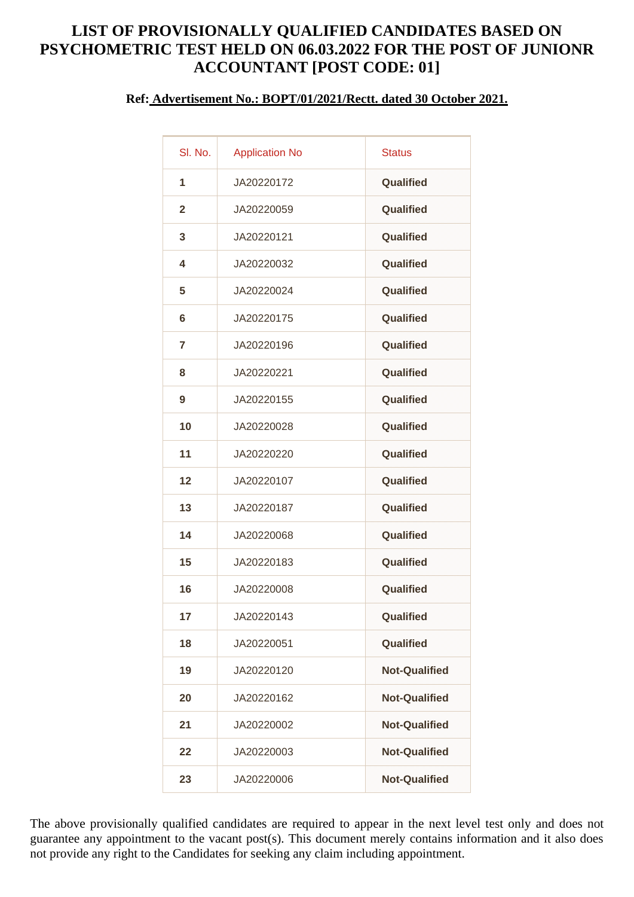## **LIST OF PROVISIONALLY QUALIFIED CANDIDATES BASED ON PSYCHOMETRIC TEST HELD ON 06.03.2022 FOR THE POST OF JUNIONR ACCOUNTANT [POST CODE: 01]**

## **Ref: Advertisement No.: BOPT/01/2021/Rectt. dated 30 October 2021.**

| SI. No.        | <b>Application No</b> | <b>Status</b>        |
|----------------|-----------------------|----------------------|
| 1              | JA20220172            | Qualified            |
| $\overline{2}$ | JA20220059            | Qualified            |
| 3              | JA20220121            | Qualified            |
| 4              | JA20220032            | Qualified            |
| 5              | JA20220024            | Qualified            |
| 6              | JA20220175            | Qualified            |
| 7              | JA20220196            | Qualified            |
| 8              | JA20220221            | Qualified            |
| 9              | JA20220155            | Qualified            |
| 10             | JA20220028            | Qualified            |
| 11             | JA20220220            | Qualified            |
| 12             | JA20220107            | Qualified            |
| 13             | JA20220187            | Qualified            |
| 14             | JA20220068            | Qualified            |
| 15             | JA20220183            | Qualified            |
| 16             | JA20220008            | Qualified            |
| 17             | JA20220143            | Qualified            |
| 18             | JA20220051            | <b>Qualified</b>     |
| 19             | JA20220120            | <b>Not-Qualified</b> |
| 20             | JA20220162            | <b>Not-Qualified</b> |
| 21             | JA20220002            | <b>Not-Qualified</b> |
| 22             | JA20220003            | <b>Not-Qualified</b> |
| 23             | JA20220006            | <b>Not-Qualified</b> |
|                |                       |                      |

The above provisionally qualified candidates are required to appear in the next level test only and does not guarantee any appointment to the vacant post(s). This document merely contains information and it also does not provide any right to the Candidates for seeking any claim including appointment.